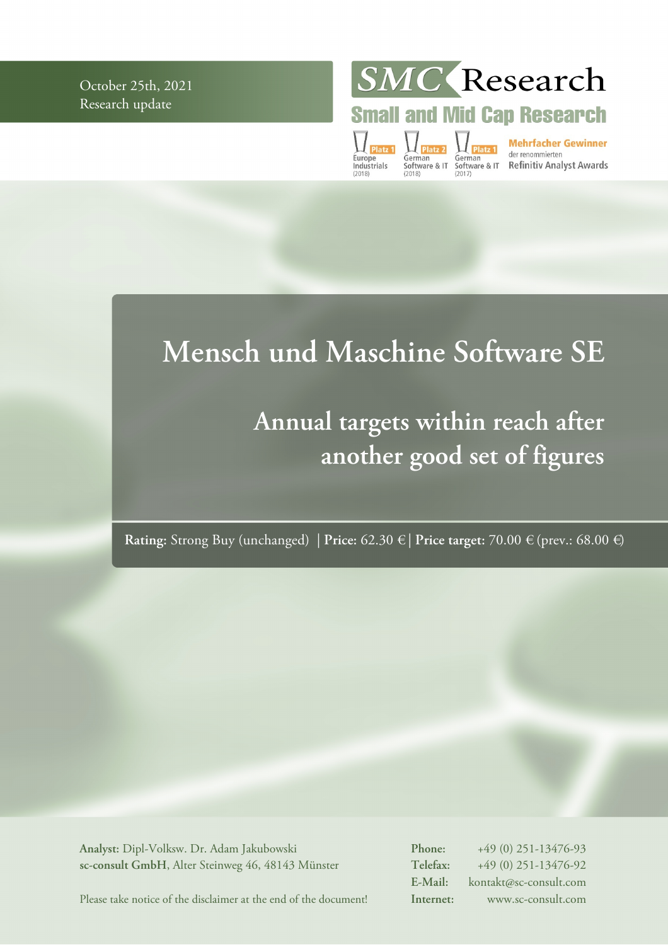October 25th, 2021 Research update

SMC Research

**Small and Mid Cap Research** 

Europe<br>Industrials

**Mehrfacher Gewinner**<br>German German der renommierten<br>Software & IT Software & IT Refinitiv Analyst Awards<br>(2018) (2017)

# **Mensch und Maschine Software SE**

# **Annual targets within reach after another good set of figures**

**Rating:** Strong Buy (unchanged) | **Price:** 62.30 € | **Price target:** 70.00 € (prev.: 68.00 €)

**Analyst:** Dipl-Volksw. Dr. Adam Jakubowski **sc-consult GmbH**, Alter Steinweg 46, 48143 Münster **Phone:** +49 (0) 251-13476-93 **Telefax:** +49 (0) 251-13476-92 **E-Mail:** kontakt@sc-consult.com **Internet:** www.sc-consult.com

Please take notice of the disclaimer at the end of the document!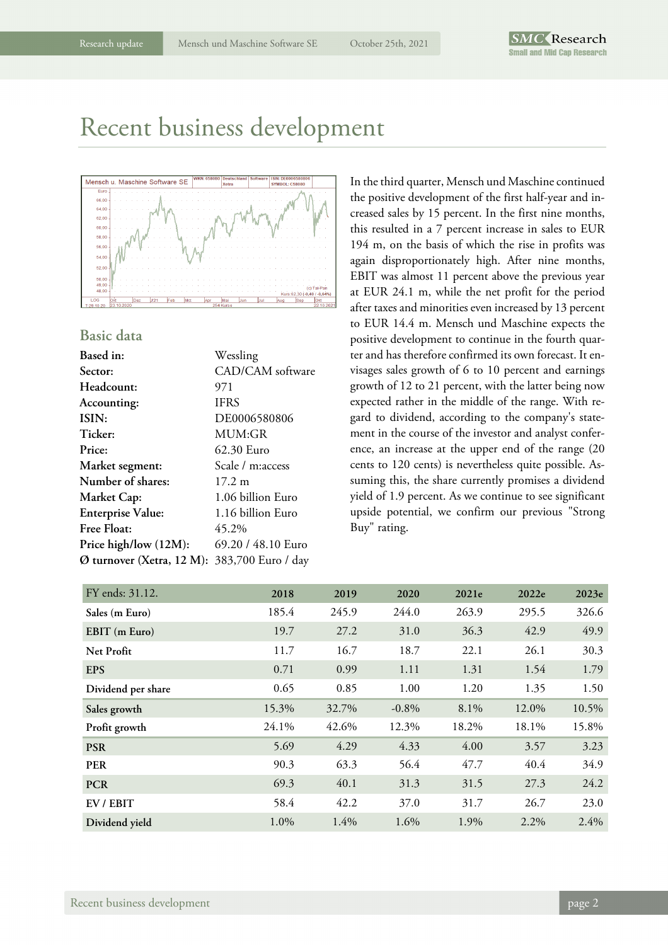# Recent business development



### **Basic data**

| Based in:                 | Wessling           |
|---------------------------|--------------------|
| Sector:                   | CAD/CAM software   |
| Headcount:                | 971                |
| Accounting:               | <b>IFRS</b>        |
| ISIN:                     | DE0006580806       |
| Ticker:                   | MUM:GR             |
| Price:                    | 62.30 Euro         |
| Market segment:           | Scale / m:access   |
| Number of shares:         | $17.2 \;{\rm m}$   |
| Market Cap:               | 1.06 billion Euro  |
| <b>Enterprise Value:</b>  | 1.16 billion Euro  |
| <b>Free Float:</b>        | 45.2%              |
| Price high/low (12M):     | 69.20 / 48.10 Euro |
| Ø turnover (Xetra, 12 M): | 383,700 Euro / day |

In the third quarter, Mensch und Maschine continued the positive development of the first half-year and increased sales by 15 percent. In the first nine months, this resulted in a 7 percent increase in sales to EUR 194 m, on the basis of which the rise in profits was again disproportionately high. After nine months, EBIT was almost 11 percent above the previous year at EUR 24.1 m, while the net profit for the period after taxes and minorities even increased by 13 percent to EUR 14.4 m. Mensch und Maschine expects the positive development to continue in the fourth quarter and has therefore confirmed its own forecast. It envisages sales growth of 6 to 10 percent and earnings growth of 12 to 21 percent, with the latter being now expected rather in the middle of the range. With regard to dividend, according to the company's statement in the course of the investor and analyst conference, an increase at the upper end of the range (20 cents to 120 cents) is nevertheless quite possible. Assuming this, the share currently promises a dividend yield of 1.9 percent. As we continue to see significant upside potential, we confirm our previous "Strong Buy" rating.

| FY ends: 31.12.    | 2018  | 2019  | 2020     | 2021e | 2022e   | 2023e |
|--------------------|-------|-------|----------|-------|---------|-------|
| Sales (m Euro)     | 185.4 | 245.9 | 244.0    | 263.9 | 295.5   | 326.6 |
| EBIT (m Euro)      | 19.7  | 27.2  | 31.0     | 36.3  | 42.9    | 49.9  |
| Net Profit         | 11.7  | 16.7  | 18.7     | 22.1  | 26.1    | 30.3  |
| <b>EPS</b>         | 0.71  | 0.99  | 1.11     | 1.31  | 1.54    | 1.79  |
| Dividend per share | 0.65  | 0.85  | 1.00     | 1.20  | 1.35    | 1.50  |
| Sales growth       | 15.3% | 32.7% | $-0.8\%$ | 8.1%  | 12.0%   | 10.5% |
| Profit growth      | 24.1% | 42.6% | 12.3%    | 18.2% | 18.1%   | 15.8% |
| <b>PSR</b>         | 5.69  | 4.29  | 4.33     | 4.00  | 3.57    | 3.23  |
| <b>PER</b>         | 90.3  | 63.3  | 56.4     | 47.7  | 40.4    | 34.9  |
| <b>PCR</b>         | 69.3  | 40.1  | 31.3     | 31.5  | 27.3    | 24.2  |
| EV / EBIT          | 58.4  | 42.2  | 37.0     | 31.7  | 26.7    | 23.0  |
| Dividend yield     | 1.0%  | 1.4%  | 1.6%     | 1.9%  | $2.2\%$ | 2.4%  |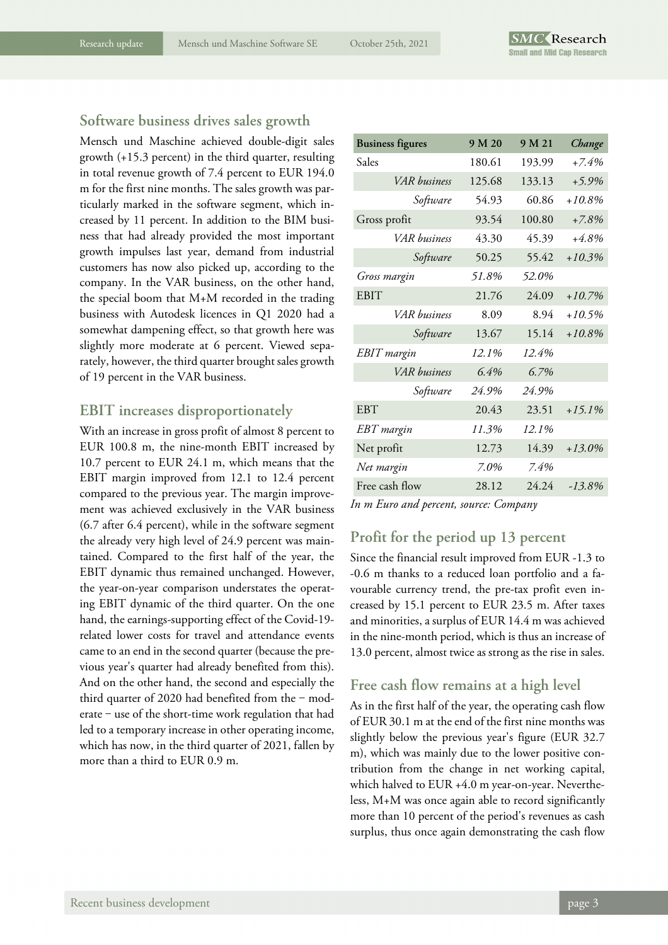### **Software business drives sales growth**

Mensch und Maschine achieved double-digit sales growth (+15.3 percent) in the third quarter, resulting in total revenue growth of 7.4 percent to EUR 194.0 m for the first nine months. The sales growth was particularly marked in the software segment, which increased by 11 percent. In addition to the BIM business that had already provided the most important growth impulses last year, demand from industrial customers has now also picked up, according to the company. In the VAR business, on the other hand, the special boom that M+M recorded in the trading business with Autodesk licences in Q1 2020 had a somewhat dampening effect, so that growth here was slightly more moderate at 6 percent. Viewed separately, however, the third quarter brought sales growth of 19 percent in the VAR business.

### **EBIT increases disproportionately**

With an increase in gross profit of almost 8 percent to EUR 100.8 m, the nine-month EBIT increased by 10.7 percent to EUR 24.1 m, which means that the EBIT margin improved from 12.1 to 12.4 percent compared to the previous year. The margin improvement was achieved exclusively in the VAR business (6.7 after 6.4 percent), while in the software segment the already very high level of 24.9 percent was maintained. Compared to the first half of the year, the EBIT dynamic thus remained unchanged. However, the year-on-year comparison understates the operating EBIT dynamic of the third quarter. On the one hand, the earnings-supporting effect of the Covid-19 related lower costs for travel and attendance events came to an end in the second quarter (because the previous year's quarter had already benefited from this). And on the other hand, the second and especially the third quarter of 2020 had benefited from the  $-$  moderate  $-$  use of the short-time work regulation that had led to a temporary increase in other operating income, which has now, in the third quarter of 2021, fallen by more than a third to EUR 0.9 m.

| <b>Business figures</b> | 9 M 20 | 9 M 21 | Change    |
|-------------------------|--------|--------|-----------|
| Sales                   | 180.61 | 193.99 | $+7.4%$   |
| VAR business            | 125.68 | 133.13 | $+5.9%$   |
| Software                | 54.93  | 60.86  | $+10.8\%$ |
| Gross profit            | 93.54  | 100.80 | $+7.8\%$  |
| VAR husiness            | 43.30  | 45.39  | $+4.8%$   |
| Software                | 50.25  | 55.42  | $+10.3%$  |
| Gross margin            | 51.8%  | 52.0%  |           |
| <b>EBIT</b>             | 21.76  | 24.09  | $+10.7%$  |
| VAR business            | 8.09   | 8.94   | +10.5%    |
| Software                | 13.67  | 15.14  | $+10.8\%$ |
| <b>EBIT</b> margin      | 12.1%  | 12.4%  |           |
| VAR business            | 6.4%   | 6.7%   |           |
| Software                | 24.9%  | 24.9%  |           |
| <b>EBT</b>              | 20.43  | 23.51  | $+15.1%$  |
| EBT margin              | 11.3%  | 12.1%  |           |
| Net profit              | 12.73  | 14.39  | $+13.0\%$ |
| Net margin              | 7.0%   | 7.4%   |           |
| Free cash flow          | 28.12  | 24.24  | $-13.8\%$ |

*In m Euro and percent, source: Company* 

## **Profit for the period up 13 percent**

Since the financial result improved from EUR -1.3 to -0.6 m thanks to a reduced loan portfolio and a favourable currency trend, the pre-tax profit even increased by 15.1 percent to EUR 23.5 m. After taxes and minorities, a surplus of EUR 14.4 m was achieved in the nine-month period, which is thus an increase of 13.0 percent, almost twice as strong as the rise in sales.

### **Free cash flow remains at a high level**

As in the first half of the year, the operating cash flow of EUR 30.1 m at the end of the first nine months was slightly below the previous year's figure (EUR 32.7 m), which was mainly due to the lower positive contribution from the change in net working capital, which halved to EUR +4.0 m year-on-year. Nevertheless, M+M was once again able to record significantly more than 10 percent of the period's revenues as cash surplus, thus once again demonstrating the cash flow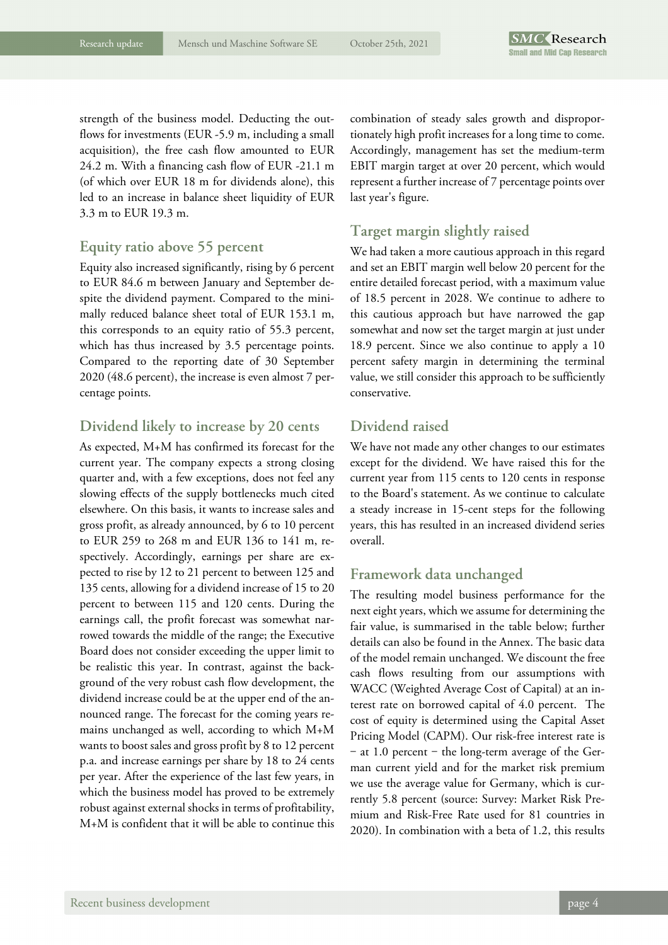strength of the business model. Deducting the outflows for investments (EUR -5.9 m, including a small acquisition), the free cash flow amounted to EUR 24.2 m. With a financing cash flow of EUR -21.1 m (of which over EUR 18 m for dividends alone), this led to an increase in balance sheet liquidity of EUR 3.3 m to EUR 19.3 m.

### **Equity ratio above 55 percent**

Equity also increased significantly, rising by 6 percent to EUR 84.6 m between January and September despite the dividend payment. Compared to the minimally reduced balance sheet total of EUR 153.1 m, this corresponds to an equity ratio of 55.3 percent, which has thus increased by 3.5 percentage points. Compared to the reporting date of 30 September 2020 (48.6 percent), the increase is even almost 7 percentage points.

### **Dividend likely to increase by 20 cents**

As expected, M+M has confirmed its forecast for the current year. The company expects a strong closing quarter and, with a few exceptions, does not feel any slowing effects of the supply bottlenecks much cited elsewhere. On this basis, it wants to increase sales and gross profit, as already announced, by 6 to 10 percent to EUR 259 to 268 m and EUR 136 to 141 m, respectively. Accordingly, earnings per share are expected to rise by 12 to 21 percent to between 125 and 135 cents, allowing for a dividend increase of 15 to 20 percent to between 115 and 120 cents. During the earnings call, the profit forecast was somewhat narrowed towards the middle of the range; the Executive Board does not consider exceeding the upper limit to be realistic this year. In contrast, against the background of the very robust cash flow development, the dividend increase could be at the upper end of the announced range. The forecast for the coming years remains unchanged as well, according to which M+M wants to boost sales and gross profit by 8 to 12 percent p.a. and increase earnings per share by 18 to 24 cents per year. After the experience of the last few years, in which the business model has proved to be extremely robust against external shocks in terms of profitability, M+M is confident that it will be able to continue this

combination of steady sales growth and disproportionately high profit increases for a long time to come. Accordingly, management has set the medium-term EBIT margin target at over 20 percent, which would represent a further increase of 7 percentage points over last year's figure.

## **Target margin slightly raised**

We had taken a more cautious approach in this regard and set an EBIT margin well below 20 percent for the entire detailed forecast period, with a maximum value of 18.5 percent in 2028. We continue to adhere to this cautious approach but have narrowed the gap somewhat and now set the target margin at just under 18.9 percent. Since we also continue to apply a 10 percent safety margin in determining the terminal value, we still consider this approach to be sufficiently conservative.

### **Dividend raised**

We have not made any other changes to our estimates except for the dividend. We have raised this for the current year from 115 cents to 120 cents in response to the Board's statement. As we continue to calculate a steady increase in 15-cent steps for the following years, this has resulted in an increased dividend series overall.

## **Framework data unchanged**

The resulting model business performance for the next eight years, which we assume for determining the fair value, is summarised in the table below; further details can also be found in the Annex. The basic data of the model remain unchanged. We discount the free cash flows resulting from our assumptions with WACC (Weighted Average Cost of Capital) at an interest rate on borrowed capital of 4.0 percent. The cost of equity is determined using the Capital Asset Pricing Model (CAPM). Our risk-free interest rate is - at 1.0 percent - the long-term average of the German current yield and for the market risk premium we use the average value for Germany, which is currently 5.8 percent (source: Survey: Market Risk Premium and Risk-Free Rate used for 81 countries in 2020). In combination with a beta of 1.2, this results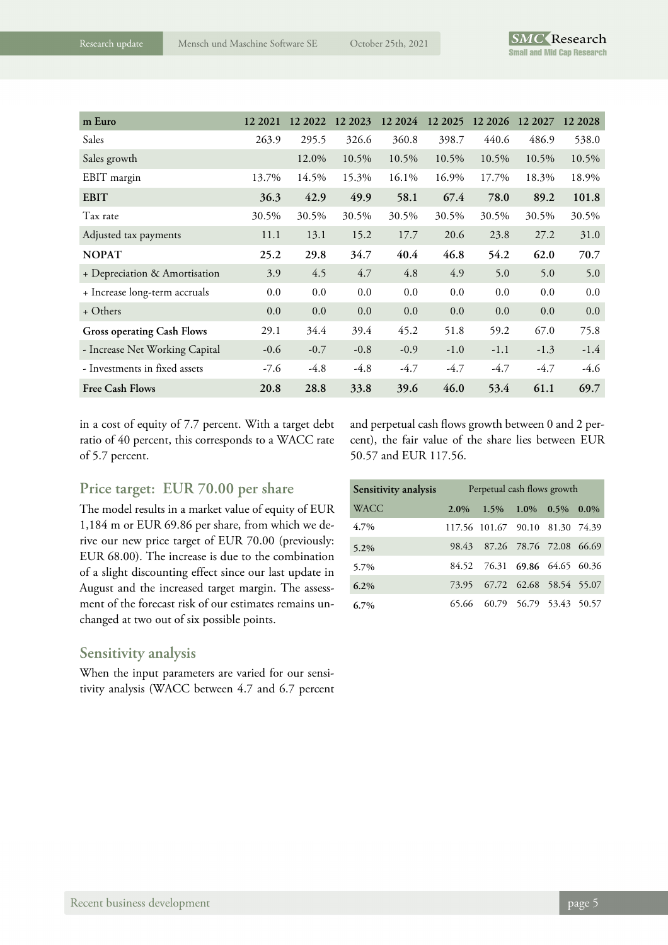| m Euro                            | 12 2021 | 12 2022 | 12 2023 | 12 20 24 | 12 20 25 | 12 2026 | 12 2027 | 12 2028 |
|-----------------------------------|---------|---------|---------|----------|----------|---------|---------|---------|
| Sales                             | 263.9   | 295.5   | 326.6   | 360.8    | 398.7    | 440.6   | 486.9   | 538.0   |
| Sales growth                      |         | 12.0%   | 10.5%   | 10.5%    | 10.5%    | 10.5%   | 10.5%   | 10.5%   |
| EBIT margin                       | 13.7%   | 14.5%   | 15.3%   | 16.1%    | 16.9%    | 17.7%   | 18.3%   | 18.9%   |
| <b>EBIT</b>                       | 36.3    | 42.9    | 49.9    | 58.1     | 67.4     | 78.0    | 89.2    | 101.8   |
| Tax rate                          | 30.5%   | 30.5%   | 30.5%   | 30.5%    | 30.5%    | 30.5%   | 30.5%   | 30.5%   |
| Adjusted tax payments             | 11.1    | 13.1    | 15.2    | 17.7     | 20.6     | 23.8    | 27.2    | 31.0    |
| <b>NOPAT</b>                      | 25.2    | 29.8    | 34.7    | 40.4     | 46.8     | 54.2    | 62.0    | 70.7    |
| + Depreciation & Amortisation     | 3.9     | 4.5     | 4.7     | 4.8      | 4.9      | 5.0     | 5.0     | 5.0     |
| + Increase long-term accruals     | 0.0     | 0.0     | 0.0     | 0.0      | 0.0      | 0.0     | 0.0     | 0.0     |
| + Others                          | 0.0     | 0.0     | 0.0     | 0.0      | 0.0      | 0.0     | 0.0     | 0.0     |
| <b>Gross operating Cash Flows</b> | 29.1    | 34.4    | 39.4    | 45.2     | 51.8     | 59.2    | 67.0    | 75.8    |
| - Increase Net Working Capital    | $-0.6$  | $-0.7$  | $-0.8$  | $-0.9$   | $-1.0$   | $-1.1$  | $-1.3$  | $-1.4$  |
| - Investments in fixed assets     | $-7.6$  | $-4.8$  | $-4.8$  | $-4.7$   | $-4.7$   | $-4.7$  | $-4.7$  | $-4.6$  |
| <b>Free Cash Flows</b>            | 20.8    | 28.8    | 33.8    | 39.6     | 46.0     | 53.4    | 61.1    | 69.7    |

in a cost of equity of 7.7 percent. With a target debt ratio of 40 percent, this corresponds to a WACC rate of 5.7 percent.

and perpetual cash flows growth between 0 and 2 percent), the fair value of the share lies between EUR 50.57 and EUR 117.56.

## **Price target: EUR 70.00 per share**

The model results in a market value of equity of EUR 1,184 m or EUR 69.86 per share, from which we derive our new price target of EUR 70.00 (previously: EUR 68.00). The increase is due to the combination of a slight discounting effect since our last update in August and the increased target margin. The assessment of the forecast risk of our estimates remains unchanged at two out of six possible points.

### **Sensitivity analysis**

When the input parameters are varied for our sensitivity analysis (WACC between 4.7 and 6.7 percent

| Sensitivity analysis |         | Perpetual cash flows growth     |                                 |  |  |  |  |
|----------------------|---------|---------------------------------|---------------------------------|--|--|--|--|
| <b>WACC</b>          | $2.0\%$ |                                 | $1.5\%$ $1.0\%$ $0.5\%$ $0.0\%$ |  |  |  |  |
| 4.7%                 |         | 117.56 101.67 90.10 81.30 74.39 |                                 |  |  |  |  |
| 5.2%                 |         | 98.43 87.26 78.76 72.08 66.69   |                                 |  |  |  |  |
| 5.7%                 |         | 84.52 76.31 69.86 64.65 60.36   |                                 |  |  |  |  |
| 6.2%                 |         | 73.95 67.72 62.68 58.54 55.07   |                                 |  |  |  |  |
| $6.7\%$              |         | 65.66 60.79 56.79 53.43 50.57   |                                 |  |  |  |  |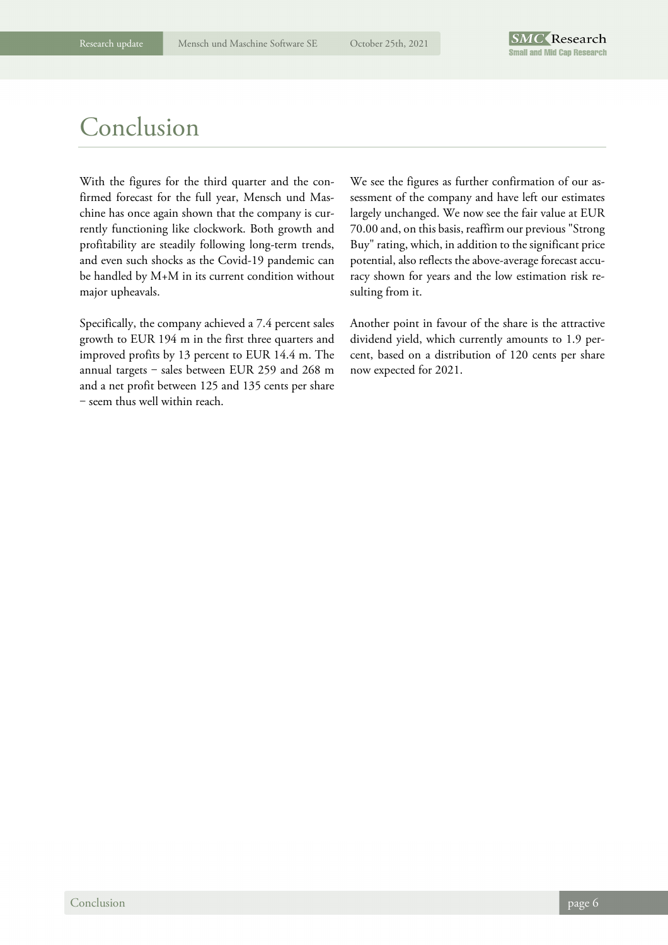# Conclusion

With the figures for the third quarter and the confirmed forecast for the full year, Mensch und Maschine has once again shown that the company is currently functioning like clockwork. Both growth and profitability are steadily following long-term trends, and even such shocks as the Covid-19 pandemic can be handled by M+M in its current condition without major upheavals.

Specifically, the company achieved a 7.4 percent sales growth to EUR 194 m in the first three quarters and improved profits by 13 percent to EUR 14.4 m. The annual targets  $-$  sales between EUR 259 and 268 m and a net profit between 125 and 135 cents per share - seem thus well within reach.

We see the figures as further confirmation of our assessment of the company and have left our estimates largely unchanged. We now see the fair value at EUR 70.00 and, on this basis, reaffirm our previous "Strong Buy" rating, which, in addition to the significant price potential, also reflects the above-average forecast accuracy shown for years and the low estimation risk resulting from it.

Another point in favour of the share is the attractive dividend yield, which currently amounts to 1.9 percent, based on a distribution of 120 cents per share now expected for 2021.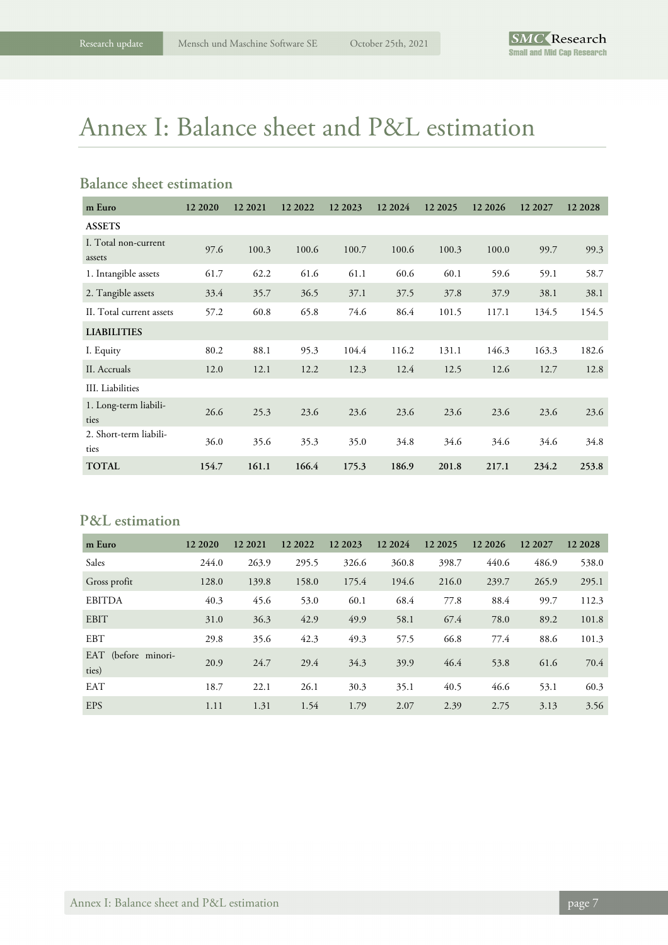# Annex I: Balance sheet and P&L estimation

## **Balance sheet estimation**

| m Euro                         | 12 20 20 | 12 20 21 | 12 2022 | 12 2023 | 12 2024 | 12 20 25 | 12 20 26 | 12 2027 | 12 2028 |
|--------------------------------|----------|----------|---------|---------|---------|----------|----------|---------|---------|
| <b>ASSETS</b>                  |          |          |         |         |         |          |          |         |         |
| I. Total non-current<br>assets | 97.6     | 100.3    | 100.6   | 100.7   | 100.6   | 100.3    | 100.0    | 99.7    | 99.3    |
| 1. Intangible assets           | 61.7     | 62.2     | 61.6    | 61.1    | 60.6    | 60.1     | 59.6     | 59.1    | 58.7    |
| 2. Tangible assets             | 33.4     | 35.7     | 36.5    | 37.1    | 37.5    | 37.8     | 37.9     | 38.1    | 38.1    |
| II. Total current assets       | 57.2     | 60.8     | 65.8    | 74.6    | 86.4    | 101.5    | 117.1    | 134.5   | 154.5   |
| <b>LIABILITIES</b>             |          |          |         |         |         |          |          |         |         |
| I. Equity                      | 80.2     | 88.1     | 95.3    | 104.4   | 116.2   | 131.1    | 146.3    | 163.3   | 182.6   |
| II. Accruals                   | 12.0     | 12.1     | 12.2    | 12.3    | 12.4    | 12.5     | 12.6     | 12.7    | 12.8    |
| III. Liabilities               |          |          |         |         |         |          |          |         |         |
| 1. Long-term liabili-<br>ties  | 26.6     | 25.3     | 23.6    | 23.6    | 23.6    | 23.6     | 23.6     | 23.6    | 23.6    |
| 2. Short-term liabili-<br>ties | 36.0     | 35.6     | 35.3    | 35.0    | 34.8    | 34.6     | 34.6     | 34.6    | 34.8    |
| <b>TOTAL</b>                   | 154.7    | 161.1    | 166.4   | 175.3   | 186.9   | 201.8    | 217.1    | 234.2   | 253.8   |

### **P&L estimation**

| m Euro                       | 12 20 20 | 12 20 21 | 12 2022 | 12 2023 | 12 2024 | 12 20 25 | 12 20 26 | 12 2027 | 12 2028 |
|------------------------------|----------|----------|---------|---------|---------|----------|----------|---------|---------|
| Sales                        | 244.0    | 263.9    | 295.5   | 326.6   | 360.8   | 398.7    | 440.6    | 486.9   | 538.0   |
| Gross profit                 | 128.0    | 139.8    | 158.0   | 175.4   | 194.6   | 216.0    | 239.7    | 265.9   | 295.1   |
| <b>EBITDA</b>                | 40.3     | 45.6     | 53.0    | 60.1    | 68.4    | 77.8     | 88.4     | 99.7    | 112.3   |
| <b>EBIT</b>                  | 31.0     | 36.3     | 42.9    | 49.9    | 58.1    | 67.4     | 78.0     | 89.2    | 101.8   |
| <b>EBT</b>                   | 29.8     | 35.6     | 42.3    | 49.3    | 57.5    | 66.8     | 77.4     | 88.6    | 101.3   |
| EAT (before minori-<br>ties) | 20.9     | 24.7     | 29.4    | 34.3    | 39.9    | 46.4     | 53.8     | 61.6    | 70.4    |
| <b>EAT</b>                   | 18.7     | 22.1     | 26.1    | 30.3    | 35.1    | 40.5     | 46.6     | 53.1    | 60.3    |
| <b>EPS</b>                   | 1.11     | 1.31     | 1.54    | 1.79    | 2.07    | 2.39     | 2.75     | 3.13    | 3.56    |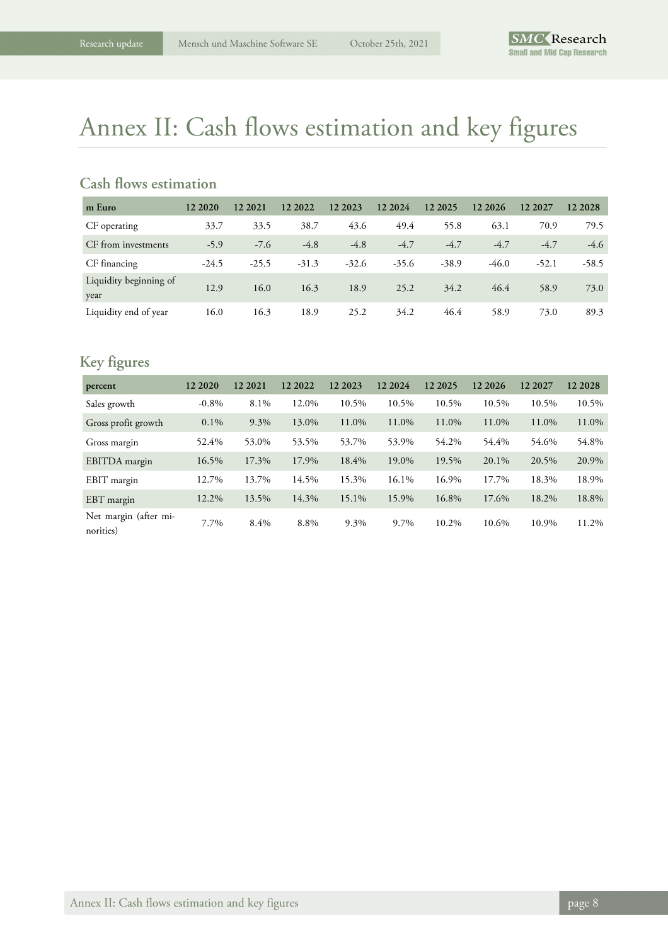# Annex II: Cash flows estimation and key figures

## **Cash flows estimation**

| m Euro                         | 12 20 20 | 12 2021 | 12 2022 | 12 2023 | 12 2024 | 12 20 25 | 12 20 26 | 12 2027 | 12 2028 |
|--------------------------------|----------|---------|---------|---------|---------|----------|----------|---------|---------|
| CF operating                   | 33.7     | 33.5    | 38.7    | 43.6    | 49.4    | 55.8     | 63.1     | 70.9    | 79.5    |
| CF from investments            | $-5.9$   | $-7.6$  | $-4.8$  | $-4.8$  | $-4.7$  | $-4.7$   | $-4.7$   | $-4.7$  | $-4.6$  |
| CF financing                   | $-24.5$  | $-25.5$ | $-31.3$ | $-32.6$ | $-35.6$ | $-38.9$  | $-46.0$  | $-52.1$ | $-58.5$ |
| Liquidity beginning of<br>year | 12.9     | 16.0    | 16.3    | 18.9    | 25.2    | 34.2     | 46.4     | 58.9    | 73.0    |
| Liquidity end of year          | 16.0     | 16.3    | 18.9    | 25.2    | 34.2    | 46.4     | 58.9     | 73.0    | 89.3    |

# **Key figures**

| percent                            | 12 20 20 | 12 20 21 | 12 2022 | 12 20 23 | 12 2024 | 12 20 25 | 12 20 26 | 12 2027 | 12 2028 |
|------------------------------------|----------|----------|---------|----------|---------|----------|----------|---------|---------|
| Sales growth                       | $-0.8\%$ | 8.1%     | 12.0%   | 10.5%    | 10.5%   | 10.5%    | 10.5%    | 10.5%   | 10.5%   |
| Gross profit growth                | $0.1\%$  | 9.3%     | 13.0%   | 11.0%    | 11.0%   | 11.0%    | 11.0%    | 11.0%   | 11.0%   |
| Gross margin                       | 52.4%    | 53.0%    | 53.5%   | 53.7%    | 53.9%   | 54.2%    | 54.4%    | 54.6%   | 54.8%   |
| EBITDA margin                      | 16.5%    | 17.3%    | 17.9%   | 18.4%    | 19.0%   | 19.5%    | 20.1%    | 20.5%   | 20.9%   |
| EBIT margin                        | 12.7%    | 13.7%    | 14.5%   | 15.3%    | 16.1%   | 16.9%    | 17.7%    | 18.3%   | 18.9%   |
| EBT margin                         | 12.2%    | 13.5%    | 14.3%   | 15.1%    | 15.9%   | 16.8%    | 17.6%    | 18.2%   | 18.8%   |
| Net margin (after mi-<br>norities) | 7.7%     | 8.4%     | 8.8%    | 9.3%     | 9.7%    | 10.2%    | 10.6%    | 10.9%   | 11.2%   |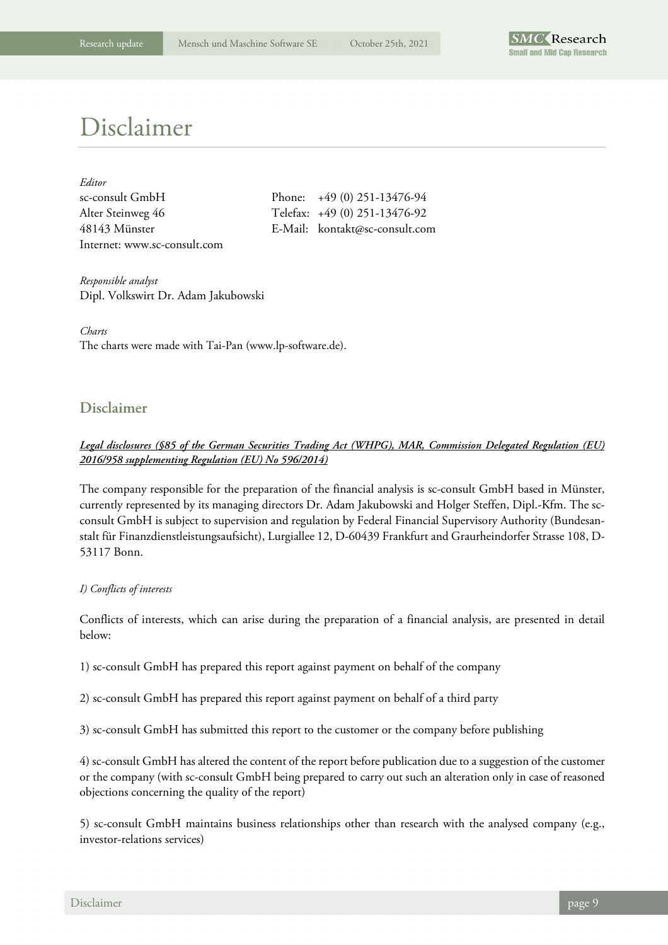

# Disclaimer

| Editor                       |                                |
|------------------------------|--------------------------------|
| sc-consult GmbH              | Phone: $+49(0)$ 251-13476-94   |
| Alter Steinweg 46            | Telefax: +49 (0) 251-13476-92  |
| 48143 Münster                | E-Mail: kontakt@sc-consult.com |
| Internet: www.sc-consult.com |                                |

| Phone: +49 (0) 251-13476-94    |
|--------------------------------|
| Felefax: +49 (0) 251-13476-92  |
| E-Mail: kontakt@sc-consult.com |

*Responsible analyst*  Dipl. Volkswirt Dr. Adam Jakubowski

*Charts*  The charts were made with Tai-Pan (www.lp-software.de).

## **Disclaimer**

### *Legal disclosures (§85 of the German Securities Trading Act (WHPG), MAR, Commission Delegated Regulation (EU) 2016/958 supplementing Regulation (EU) No 596/2014)*

The company responsible for the preparation of the financial analysis is sc-consult GmbH based in Münster, currently represented by its managing directors Dr. Adam Jakubowski and Holger Steffen, Dipl.-Kfm. The scconsult GmbH is subject to supervision and regulation by Federal Financial Supervisory Authority (Bundesanstalt für Finanzdienstleistungsaufsicht), Lurgiallee 12, D-60439 Frankfurt and Graurheindorfer Strasse 108, D-53117 Bonn.

### *I) Conflicts of interests*

Conflicts of interests, which can arise during the preparation of a financial analysis, are presented in detail below:

1) sc-consult GmbH has prepared this report against payment on behalf of the company

2) sc-consult GmbH has prepared this report against payment on behalf of a third party

3) sc-consult GmbH has submitted this report to the customer or the company before publishing

4) sc-consult GmbH has altered the content of the report before publication due to a suggestion of the customer or the company (with sc-consult GmbH being prepared to carry out such an alteration only in case of reasoned objections concerning the quality of the report)

5) sc-consult GmbH maintains business relationships other than research with the analysed company (e.g., investor-relations services)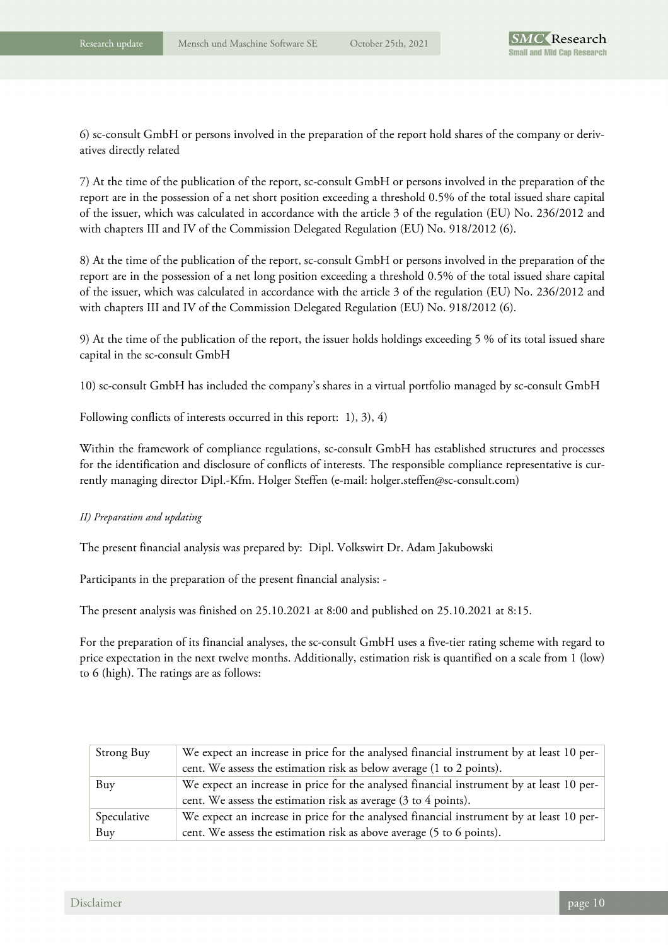6) sc-consult GmbH or persons involved in the preparation of the report hold shares of the company or derivatives directly related

7) At the time of the publication of the report, sc-consult GmbH or persons involved in the preparation of the report are in the possession of a net short position exceeding a threshold 0.5% of the total issued share capital of the issuer, which was calculated in accordance with the article 3 of the regulation (EU) No. 236/2012 and with chapters III and IV of the Commission Delegated Regulation (EU) No. 918/2012 (6).

8) At the time of the publication of the report, sc-consult GmbH or persons involved in the preparation of the report are in the possession of a net long position exceeding a threshold 0.5% of the total issued share capital of the issuer, which was calculated in accordance with the article 3 of the regulation (EU) No. 236/2012 and with chapters III and IV of the Commission Delegated Regulation (EU) No. 918/2012 (6).

9) At the time of the publication of the report, the issuer holds holdings exceeding 5 % of its total issued share capital in the sc-consult GmbH

10) sc-consult GmbH has included the company's shares in a virtual portfolio managed by sc-consult GmbH

Following conflicts of interests occurred in this report: 1), 3), 4)

Within the framework of compliance regulations, sc-consult GmbH has established structures and processes for the identification and disclosure of conflicts of interests. The responsible compliance representative is currently managing director Dipl.-Kfm. Holger Steffen (e-mail: holger.steffen@sc-consult.com)

#### *II) Preparation and updating*

The present financial analysis was prepared by: Dipl. Volkswirt Dr. Adam Jakubowski

Participants in the preparation of the present financial analysis: -

The present analysis was finished on 25.10.2021 at 8:00 and published on 25.10.2021 at 8:15.

For the preparation of its financial analyses, the sc-consult GmbH uses a five-tier rating scheme with regard to price expectation in the next twelve months. Additionally, estimation risk is quantified on a scale from 1 (low) to 6 (high). The ratings are as follows:

| Strong Buy  | We expect an increase in price for the analysed financial instrument by at least 10 per- |
|-------------|------------------------------------------------------------------------------------------|
|             | cent. We assess the estimation risk as below average (1 to 2 points).                    |
| Buy         | We expect an increase in price for the analysed financial instrument by at least 10 per- |
|             | cent. We assess the estimation risk as average (3 to 4 points).                          |
| Speculative | We expect an increase in price for the analysed financial instrument by at least 10 per- |
| Buy         | cent. We assess the estimation risk as above average (5 to 6 points).                    |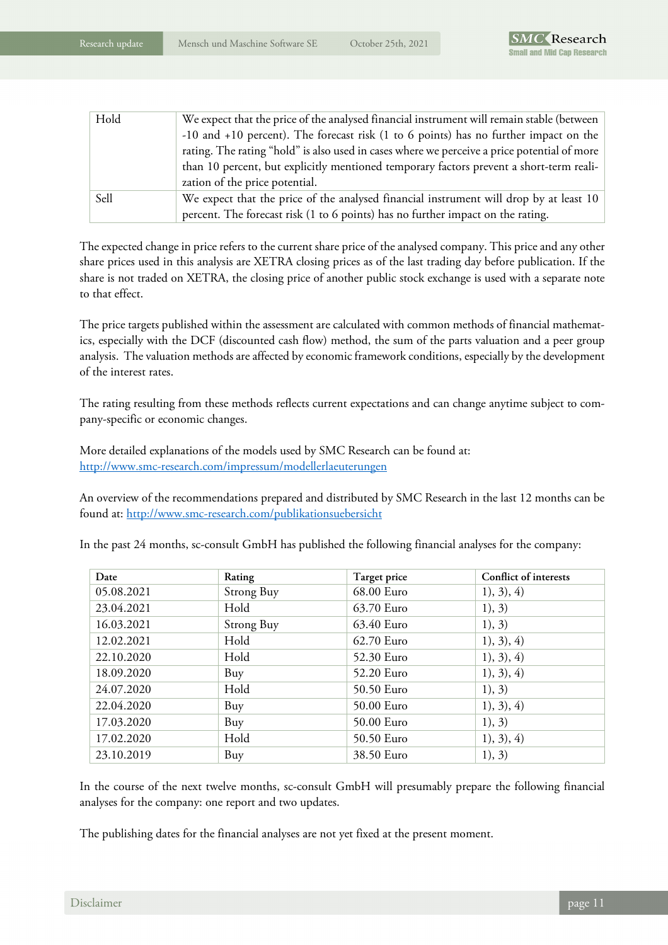| Hold | We expect that the price of the analysed financial instrument will remain stable (between   |
|------|---------------------------------------------------------------------------------------------|
|      | $-10$ and $+10$ percent). The forecast risk (1 to 6 points) has no further impact on the    |
|      | rating. The rating "hold" is also used in cases where we perceive a price potential of more |
|      | than 10 percent, but explicitly mentioned temporary factors prevent a short-term reali-     |
|      | zation of the price potential.                                                              |
| Sell | We expect that the price of the analysed financial instrument will drop by at least 10      |
|      | percent. The forecast risk (1 to 6 points) has no further impact on the rating.             |

The expected change in price refers to the current share price of the analysed company. This price and any other share prices used in this analysis are XETRA closing prices as of the last trading day before publication. If the share is not traded on XETRA, the closing price of another public stock exchange is used with a separate note to that effect.

The price targets published within the assessment are calculated with common methods of financial mathematics, especially with the DCF (discounted cash flow) method, the sum of the parts valuation and a peer group analysis. The valuation methods are affected by economic framework conditions, especially by the development of the interest rates.

The rating resulting from these methods reflects current expectations and can change anytime subject to company-specific or economic changes.

More detailed explanations of the models used by SMC Research can be found at: http://www.smc-research.com/impressum/modellerlaeuterungen

An overview of the recommendations prepared and distributed by SMC Research in the last 12 months can be found at: http://www.smc-research.com/publikationsuebersicht

| Date       | Rating            | Target price | Conflict of interests |
|------------|-------------------|--------------|-----------------------|
| 05.08.2021 | Strong Buy        | 68.00 Euro   | 1), 3), 4)            |
| 23.04.2021 | Hold              | 63.70 Euro   | 1), 3)                |
| 16.03.2021 | <b>Strong Buy</b> | 63.40 Euro   | 1), 3)                |
| 12.02.2021 | Hold              | 62.70 Euro   | 1), 3), 4)            |
| 22.10.2020 | Hold              | 52.30 Euro   | 1), 3), 4)            |
| 18.09.2020 | Buy               | 52.20 Euro   | 1), 3), 4)            |
| 24.07.2020 | Hold              | 50.50 Euro   | 1), 3)                |
| 22.04.2020 | Buy               | 50.00 Euro   | 1), 3), 4)            |
| 17.03.2020 | Buy               | 50.00 Euro   | 1), 3)                |
| 17.02.2020 | Hold              | 50.50 Euro   | 1), 3), 4)            |
| 23.10.2019 | Buy               | 38.50 Euro   | 1), 3)                |

In the past 24 months, sc-consult GmbH has published the following financial analyses for the company:

In the course of the next twelve months, sc-consult GmbH will presumably prepare the following financial analyses for the company: one report and two updates.

The publishing dates for the financial analyses are not yet fixed at the present moment.